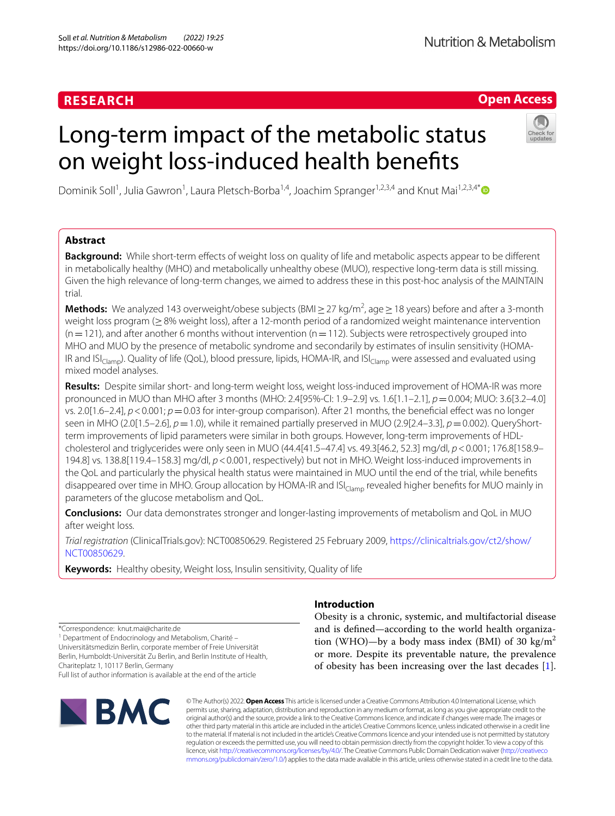# **RESEARCH**

# **Open Access**

# Long-term impact of the metabolic status on weight loss-induced health benefts



Dominik Soll<sup>1</sup>, Julia Gawron<sup>1</sup>, Laura Pletsch-Borba<sup>1,4</sup>, Joachim Spranger<sup>1,2,3,4</sup> and Knut Mai<sup>1,2,3,4[\\*](http://orcid.org/0000-0003-0126-3155)</sup>

# **Abstract**

**Background:** While short-term effects of weight loss on quality of life and metabolic aspects appear to be different in metabolically healthy (MHO) and metabolically unhealthy obese (MUO), respective long-term data is still missing. Given the high relevance of long-term changes, we aimed to address these in this post-hoc analysis of the MAINTAIN trial.

**Methods:** We analyzed 143 overweight/obese subjects (BMI ≥ 27 kg/m<sup>2</sup>, age ≥ 18 years) before and after a 3-month weight loss program (≥8% weight loss), after a 12-month period of a randomized weight maintenance intervention  $(n=121)$ , and after another 6 months without intervention  $(n=112)$ . Subjects were retrospectively grouped into MHO and MUO by the presence of metabolic syndrome and secondarily by estimates of insulin sensitivity (HOMA-IR and  $IS|_{Clamp}$ , Quality of life (QoL), blood pressure, lipids, HOMA-IR, and  $IS|_{Clamp}$  were assessed and evaluated using mixed model analyses.

**Results:** Despite similar short- and long-term weight loss, weight loss-induced improvement of HOMA-IR was more pronounced in MUO than MHO after 3 months (MHO: 2.4[95%-CI: 1.9–2.9] vs. 1.6[1.1–2.1], *p*=0.004; MUO: 3.6[3.2–4.0] vs. 2.0[1.6–2.4], *p*<0.001; *p*=0.03 for inter-group comparison). After 21 months, the benefcial efect was no longer seen in MHO (2.0[1.5–2.6], *p*=1.0), while it remained partially preserved in MUO (2.9[2.4–3.3], *p*=0.002). QueryShortterm improvements of lipid parameters were similar in both groups. However, long-term improvements of HDLcholesterol and triglycerides were only seen in MUO (44.4[41.5–47.4] vs. 49.3[46.2, 52.3] mg/dl, *p*<0.001; 176.8[158.9– 194.8] vs. 138.8[119.4–158.3] mg/dl, *p*<0.001, respectively) but not in MHO. Weight loss-induced improvements in the QoL and particularly the physical health status were maintained in MUO until the end of the trial, while benefts disappeared over time in MHO. Group allocation by HOMA-IR and ISI<sub>Clamp</sub> revealed higher benefits for MUO mainly in parameters of the glucose metabolism and QoL.

**Conclusions:** Our data demonstrates stronger and longer-lasting improvements of metabolism and QoL in MUO after weight loss.

*Trial registration* (ClinicalTrials.gov): NCT00850629. Registered 25 February 2009, [https://clinicaltrials.gov/ct2/show/](https://clinicaltrials.gov/ct2/show/NCT00850629) [NCT00850629](https://clinicaltrials.gov/ct2/show/NCT00850629).

**Keywords:** Healthy obesity, Weight loss, Insulin sensitivity, Quality of life

\*Correspondence: knut.mai@charite.de

<sup>1</sup> Department of Endocrinology and Metabolism, Charité -Universitätsmedizin Berlin, corporate member of Freie Universität Berlin, Humboldt-Universität Zu Berlin, and Berlin Institute of Health,

Chariteplatz 1, 10117 Berlin, Germany

Full list of author information is available at the end of the article



# **Introduction**

Obesity is a chronic, systemic, and multifactorial disease and is defned—according to the world health organization (WHO)—by a body mass index (BMI) of 30  $\text{kg/m}^2$ or more. Despite its preventable nature, the prevalence of obesity has been increasing over the last decades [\[1](#page-8-0)].

© The Author(s) 2022. **Open Access** This article is licensed under a Creative Commons Attribution 4.0 International License, which permits use, sharing, adaptation, distribution and reproduction in any medium or format, as long as you give appropriate credit to the original author(s) and the source, provide a link to the Creative Commons licence, and indicate if changes were made. The images or other third party material in this article are included in the article's Creative Commons licence, unless indicated otherwise in a credit line to the material. If material is not included in the article's Creative Commons licence and your intended use is not permitted by statutory regulation or exceeds the permitted use, you will need to obtain permission directly from the copyright holder. To view a copy of this licence, visit [http://creativecommons.org/licenses/by/4.0/.](http://creativecommons.org/licenses/by/4.0/) The Creative Commons Public Domain Dedication waiver ([http://creativeco](http://creativecommons.org/publicdomain/zero/1.0/) [mmons.org/publicdomain/zero/1.0/](http://creativecommons.org/publicdomain/zero/1.0/)) applies to the data made available in this article, unless otherwise stated in a credit line to the data.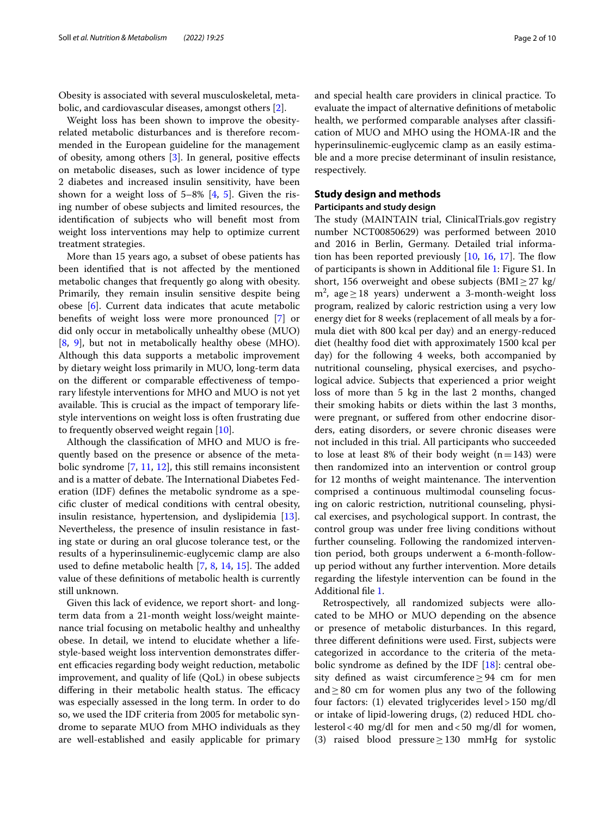Obesity is associated with several musculoskeletal, metabolic, and cardiovascular diseases, amongst others [\[2](#page-8-1)].

Weight loss has been shown to improve the obesityrelated metabolic disturbances and is therefore recommended in the European guideline for the management of obesity, among others [[3\]](#page-8-2). In general, positive efects on metabolic diseases, such as lower incidence of type 2 diabetes and increased insulin sensitivity, have been shown for a weight loss of  $5-8\%$  $5-8\%$  [\[4](#page-8-3), 5]. Given the rising number of obese subjects and limited resources, the identifcation of subjects who will beneft most from weight loss interventions may help to optimize current treatment strategies.

More than 15 years ago, a subset of obese patients has been identifed that is not afected by the mentioned metabolic changes that frequently go along with obesity. Primarily, they remain insulin sensitive despite being obese [[6\]](#page-8-5). Current data indicates that acute metabolic benefts of weight loss were more pronounced [[7](#page-8-6)] or did only occur in metabolically unhealthy obese (MUO) [[8,](#page-8-7) [9\]](#page-8-8), but not in metabolically healthy obese (MHO). Although this data supports a metabolic improvement by dietary weight loss primarily in MUO, long-term data on the diferent or comparable efectiveness of temporary lifestyle interventions for MHO and MUO is not yet available. This is crucial as the impact of temporary lifestyle interventions on weight loss is often frustrating due to frequently observed weight regain [[10\]](#page-8-9).

Although the classifcation of MHO and MUO is frequently based on the presence or absence of the metabolic syndrome [\[7](#page-8-6), [11](#page-8-10), [12](#page-8-11)], this still remains inconsistent and is a matter of debate. The International Diabetes Federation (IDF) defnes the metabolic syndrome as a specifc cluster of medical conditions with central obesity, insulin resistance, hypertension, and dyslipidemia [\[13](#page-8-12)]. Nevertheless, the presence of insulin resistance in fasting state or during an oral glucose tolerance test, or the results of a hyperinsulinemic-euglycemic clamp are also used to define metabolic health  $[7, 8, 14, 15]$  $[7, 8, 14, 15]$  $[7, 8, 14, 15]$  $[7, 8, 14, 15]$  $[7, 8, 14, 15]$  $[7, 8, 14, 15]$  $[7, 8, 14, 15]$  $[7, 8, 14, 15]$ . The added value of these defnitions of metabolic health is currently still unknown.

Given this lack of evidence, we report short- and longterm data from a 21-month weight loss/weight maintenance trial focusing on metabolic healthy and unhealthy obese. In detail, we intend to elucidate whether a lifestyle-based weight loss intervention demonstrates diferent efficacies regarding body weight reduction, metabolic improvement, and quality of life (QoL) in obese subjects differing in their metabolic health status. The efficacy was especially assessed in the long term. In order to do so, we used the IDF criteria from 2005 for metabolic syndrome to separate MUO from MHO individuals as they are well-established and easily applicable for primary and special health care providers in clinical practice. To evaluate the impact of alternative defnitions of metabolic health, we performed comparable analyses after classifcation of MUO and MHO using the HOMA-IR and the hyperinsulinemic-euglycemic clamp as an easily estimable and a more precise determinant of insulin resistance, respectively.

# **Study design and methods**

## **Participants and study design**

The study (MAINTAIN trial, ClinicalTrials.gov registry number NCT00850629) was performed between 2010 and 2016 in Berlin, Germany. Detailed trial information has been reported previously  $[10, 16, 17]$  $[10, 16, 17]$  $[10, 16, 17]$  $[10, 16, 17]$  $[10, 16, 17]$  $[10, 16, 17]$ . The flow of participants is shown in Additional fle [1:](#page-8-17) Figure S1. In short, 156 overweight and obese subjects (BMI $\geq$ 27 kg/ m<sup>2</sup>, age ≥ 18 years) underwent a 3-month-weight loss program, realized by caloric restriction using a very low energy diet for 8 weeks (replacement of all meals by a formula diet with 800 kcal per day) and an energy-reduced diet (healthy food diet with approximately 1500 kcal per day) for the following 4 weeks, both accompanied by nutritional counseling, physical exercises, and psychological advice. Subjects that experienced a prior weight loss of more than 5 kg in the last 2 months, changed their smoking habits or diets within the last 3 months, were pregnant, or sufered from other endocrine disorders, eating disorders, or severe chronic diseases were not included in this trial. All participants who succeeded to lose at least 8% of their body weight  $(n=143)$  were then randomized into an intervention or control group for 12 months of weight maintenance. The intervention comprised a continuous multimodal counseling focusing on caloric restriction, nutritional counseling, physical exercises, and psychological support. In contrast, the control group was under free living conditions without further counseling. Following the randomized intervention period, both groups underwent a 6-month-followup period without any further intervention. More details regarding the lifestyle intervention can be found in the Additional fle [1](#page-8-17).

Retrospectively, all randomized subjects were allocated to be MHO or MUO depending on the absence or presence of metabolic disturbances. In this regard, three diferent defnitions were used. First, subjects were categorized in accordance to the criteria of the metabolic syndrome as defined by the IDF  $[18]$  $[18]$ : central obesity defined as waist circumference  $\geq$  94 cm for men and  $\geq$  80 cm for women plus any two of the following four factors: (1) elevated triglycerides level>150 mg/dl or intake of lipid-lowering drugs, (2) reduced HDL cholesterol<40 mg/dl for men and<50 mg/dl for women, (3) raised blood pressure≥130 mmHg for systolic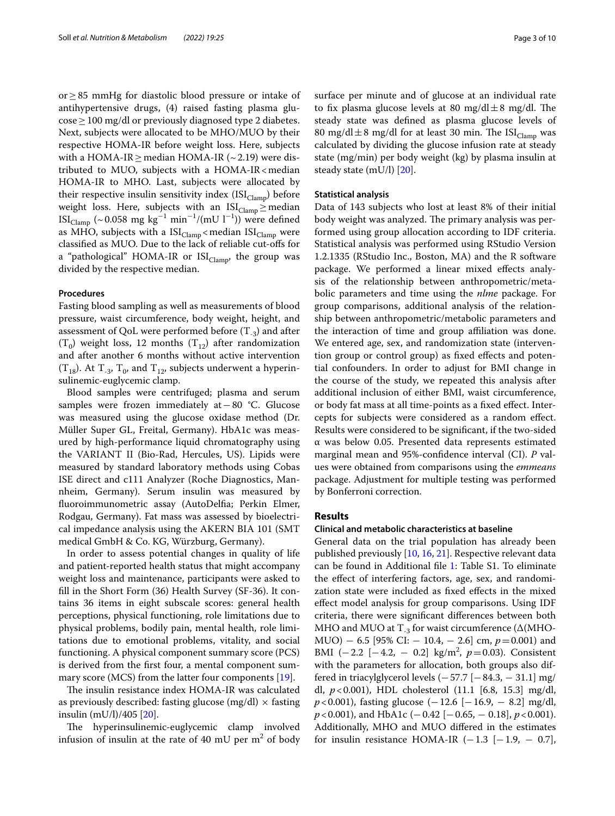or≥85 mmHg for diastolic blood pressure or intake of antihypertensive drugs, (4) raised fasting plasma glu- $\cos\epsilon \geq 100$  mg/dl or previously diagnosed type 2 diabetes. Next, subjects were allocated to be MHO/MUO by their respective HOMA-IR before weight loss. Here, subjects with a HOMA-IR  $\geq$  median HOMA-IR (~2.19) were distributed to MUO, subjects with a HOMA-IR  $<$  median HOMA-IR to MHO. Last, subjects were allocated by their respective insulin sensitivity index  $(ISI_{Clamp})$  before weight loss. Here, subjects with an  $ISI_{Clamp} \geq$  median ISI<sub>Clamp</sub> (~0.058 mg kg<sup>-1</sup> min<sup>-1</sup>/(mU l<sup>-1</sup>)) were defined as MHO, subjects with a  $ISI_{Clamp}$  < median  $ISI_{Clamp}$  were classifed as MUO. Due to the lack of reliable cut-ofs for a "pathological" HOMA-IR or  $ISI_{Clamp}$ , the group was divided by the respective median.

# **Procedures**

Fasting blood sampling as well as measurements of blood pressure, waist circumference, body weight, height, and assessment of QoL were performed before  $(T_{-3})$  and after  $(T_0)$  weight loss, 12 months  $(T_{12})$  after randomization and after another 6 months without active intervention  $(T_{18})$ . At  $T_{-3}$ ,  $T_0$ , and  $T_{12}$ , subjects underwent a hyperinsulinemic-euglycemic clamp.

Blood samples were centrifuged; plasma and serum samples were frozen immediately at−80 °C. Glucose was measured using the glucose oxidase method (Dr. Müller Super GL, Freital, Germany). HbA1c was measured by high-performance liquid chromatography using the VARIANT II (Bio-Rad, Hercules, US). Lipids were measured by standard laboratory methods using Cobas ISE direct and c111 Analyzer (Roche Diagnostics, Mannheim, Germany). Serum insulin was measured by fuoroimmunometric assay (AutoDelfa; Perkin Elmer, Rodgau, Germany). Fat mass was assessed by bioelectrical impedance analysis using the AKERN BIA 101 (SMT medical GmbH & Co. KG, Würzburg, Germany).

In order to assess potential changes in quality of life and patient-reported health status that might accompany weight loss and maintenance, participants were asked to fll in the Short Form (36) Health Survey (SF-36). It contains 36 items in eight subscale scores: general health perceptions, physical functioning, role limitations due to physical problems, bodily pain, mental health, role limitations due to emotional problems, vitality, and social functioning. A physical component summary score (PCS) is derived from the frst four, a mental component summary score (MCS) from the latter four components [[19\]](#page-8-19).

The insulin resistance index HOMA-IR was calculated as previously described: fasting glucose (mg/dl)  $\times$  fasting insulin (mU/l)/405 [[20](#page-8-20)].

The hyperinsulinemic-euglycemic clamp involved infusion of insulin at the rate of 40 mU per  $m^2$  of body surface per minute and of glucose at an individual rate to fix plasma glucose levels at 80  $mg/dl \pm 8$  mg/dl. The steady state was defned as plasma glucose levels of 80 mg/dl $\pm$ 8 mg/dl for at least 30 min. The ISI<sub>Clamp</sub> was calculated by dividing the glucose infusion rate at steady state (mg/min) per body weight (kg) by plasma insulin at steady state (mU/l) [[20\]](#page-8-20).

### **Statistical analysis**

Data of 143 subjects who lost at least 8% of their initial body weight was analyzed. The primary analysis was performed using group allocation according to IDF criteria. Statistical analysis was performed using RStudio Version 1.2.1335 (RStudio Inc., Boston, MA) and the R software package. We performed a linear mixed efects analysis of the relationship between anthropometric/metabolic parameters and time using the *nlme* package. For group comparisons, additional analysis of the relationship between anthropometric/metabolic parameters and the interaction of time and group afliation was done. We entered age, sex, and randomization state (intervention group or control group) as fxed efects and potential confounders. In order to adjust for BMI change in the course of the study, we repeated this analysis after additional inclusion of either BMI, waist circumference, or body fat mass at all time-points as a fxed efect. Intercepts for subjects were considered as a random efect. Results were considered to be signifcant, if the two-sided α was below 0.05. Presented data represents estimated marginal mean and 95%-confdence interval (CI). *P* values were obtained from comparisons using the *emmeans* package. Adjustment for multiple testing was performed by Bonferroni correction.

# **Results**

## **Clinical and metabolic characteristics at baseline**

General data on the trial population has already been published previously [\[10](#page-8-9), [16](#page-8-15), [21\]](#page-8-21). Respective relevant data can be found in Additional fle [1:](#page-8-17) Table S1. To eliminate the efect of interfering factors, age, sex, and randomization state were included as fxed efects in the mixed efect model analysis for group comparisons. Using IDF criteria, there were signifcant diferences between both MHO and MUO at  $T_{-3}$  for waist circumference ( $\Delta$ (MHO-MUO) − 6.5 [95% CI: − 10.4, − 2.6] cm, *p*=0.001) and BMI (−2.2 [−4.2, − 0.2] kg/m<sup>2</sup> , *p*=0.03). Consistent with the parameters for allocation, both groups also differed in triacylglycerol levels  $(-57.7 [-84.3, -31.1]$  mg/ dl, *p*<0.001), HDL cholesterol (11.1 [6.8, 15.3] mg/dl, *p*<0.001), fasting glucose (−12.6 [−16.9, − 8.2] mg/dl, *p*<0.001), and HbA1c (−0.42 [−0.65, − 0.18], *p*<0.001). Additionally, MHO and MUO difered in the estimates for insulin resistance HOMA-IR  $(-1.3$   $[-1.9, -0.7]$ ,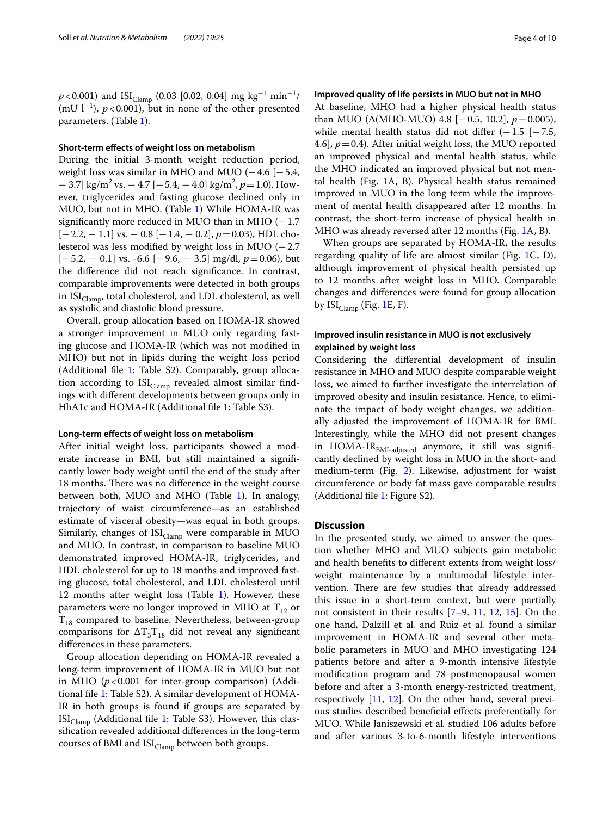$p$ <0.001) and ISI<sub>Clamp</sub> (0.03 [0.02, 0.04] mg kg<sup>−1</sup> min<sup>−1</sup>/  $(mU l^{-1})$ ,  $p < 0.001$ ), but in none of the other presented parameters. (Table [1](#page-4-0)).

## **Short‑term efects of weight loss on metabolism**

During the initial 3-month weight reduction period, weight loss was similar in MHO and MUO ( $-4.6$  [ $-5.4$ , − 3.7] kg/m<sup>2</sup> vs. − 4.7 [−5.4, − 4.0] kg/m2 , *p*=1.0). However, triglycerides and fasting glucose declined only in MUO, but not in MHO. (Table [1](#page-4-0)) While HOMA-IR was significantly more reduced in MUO than in MHO  $(-1.7)$ [−2.2, − 1.1] vs. − 0.8 [−1.4, − 0.2], *p*=0.03), HDL cholesterol was less modifed by weight loss in MUO (−2.7 [−5.2, − 0.1] vs. -6.6 [−9.6, − 3.5] mg/dl, *p*=0.06), but the diference did not reach signifcance. In contrast, comparable improvements were detected in both groups in  $ISI<sub>Clamp</sub>$ , total cholesterol, and LDL cholesterol, as well as systolic and diastolic blood pressure.

Overall, group allocation based on HOMA-IR showed a stronger improvement in MUO only regarding fasting glucose and HOMA-IR (which was not modifed in MHO) but not in lipids during the weight loss period (Additional file [1](#page-8-17): Table S2). Comparably, group allocation according to  $ISI_{Clamp}$  revealed almost similar findings with diferent developments between groups only in HbA1c and HOMA-IR (Additional fle [1](#page-8-17): Table S3).

#### **Long‑term efects of weight loss on metabolism**

After initial weight loss, participants showed a moderate increase in BMI, but still maintained a signifcantly lower body weight until the end of the study after 18 months. There was no difference in the weight course between both, MUO and MHO (Table [1](#page-4-0)). In analogy, trajectory of waist circumference—as an established estimate of visceral obesity—was equal in both groups. Similarly, changes of  $ISI_{Clamp}$  were comparable in MUO and MHO. In contrast, in comparison to baseline MUO demonstrated improved HOMA-IR, triglycerides, and HDL cholesterol for up to 18 months and improved fasting glucose, total cholesterol, and LDL cholesterol until 12 months after weight loss (Table [1](#page-4-0)). However, these parameters were no longer improved in MHO at  $T_{12}$  or  $T_{18}$  compared to baseline. Nevertheless, between-group comparisons for  $\Delta T_3T_{18}$  did not reveal any significant diferences in these parameters.

Group allocation depending on HOMA-IR revealed a long-term improvement of HOMA-IR in MUO but not in MHO (*p*<0.001 for inter-group comparison) (Additional fle [1](#page-8-17): Table S2). A similar development of HOMA-IR in both groups is found if groups are separated by  $ISI_{Clamp}$  (Additional file [1](#page-8-17): Table S3). However, this classifcation revealed additional diferences in the long-term courses of BMI and  $ISI_{Clamp}$  between both groups.

#### **Improved quality of life persists in MUO but not in MHO**

At baseline, MHO had a higher physical health status than MUO ( $\triangle$ (MHO-MUO) 4.8 [-0.5, 10.2],  $p=0.005$ ), while mental health status did not differ  $(-1.5$  [ $-7.5$ , 4.6],  $p = 0.4$ ). After initial weight loss, the MUO reported an improved physical and mental health status, while the MHO indicated an improved physical but not mental health (Fig. [1A](#page-5-0), B). Physical health status remained improved in MUO in the long term while the improvement of mental health disappeared after 12 months. In contrast, the short-term increase of physical health in MHO was already reversed after 12 months (Fig. [1](#page-5-0)A, B).

When groups are separated by HOMA-IR, the results regarding quality of life are almost similar (Fig. [1](#page-5-0)C, D), although improvement of physical health persisted up to 12 months after weight loss in MHO. Comparable changes and diferences were found for group allocation by  $ISI_{Clamp}$  (Fig. [1E](#page-5-0), F).

# **Improved insulin resistance in MUO is not exclusively explained by weight loss**

Considering the diferential development of insulin resistance in MHO and MUO despite comparable weight loss, we aimed to further investigate the interrelation of improved obesity and insulin resistance. Hence, to eliminate the impact of body weight changes, we additionally adjusted the improvement of HOMA-IR for BMI. Interestingly, while the MHO did not present changes in HOMA-IR<sub>BMI-adjusted</sub> anymore, it still was significantly declined by weight loss in MUO in the short- and medium-term (Fig. [2\)](#page-5-1). Likewise, adjustment for waist circumference or body fat mass gave comparable results (Additional fle [1](#page-8-17): Figure S2).

# **Discussion**

In the presented study, we aimed to answer the question whether MHO and MUO subjects gain metabolic and health benefts to diferent extents from weight loss/ weight maintenance by a multimodal lifestyle intervention. There are few studies that already addressed this issue in a short-term context, but were partially not consistent in their results [\[7](#page-8-6)[–9](#page-8-8), [11,](#page-8-10) [12,](#page-8-11) [15\]](#page-8-14). On the one hand, Dalzill et al*.* and Ruiz et al*.* found a similar improvement in HOMA-IR and several other metabolic parameters in MUO and MHO investigating 124 patients before and after a 9-month intensive lifestyle modifcation program and 78 postmenopausal women before and after a 3-month energy-restricted treatment, respectively [\[11](#page-8-10), [12](#page-8-11)]. On the other hand, several previous studies described benefcial efects preferentially for MUO. While Janiszewski et al*.* studied 106 adults before and after various 3-to-6-month lifestyle interventions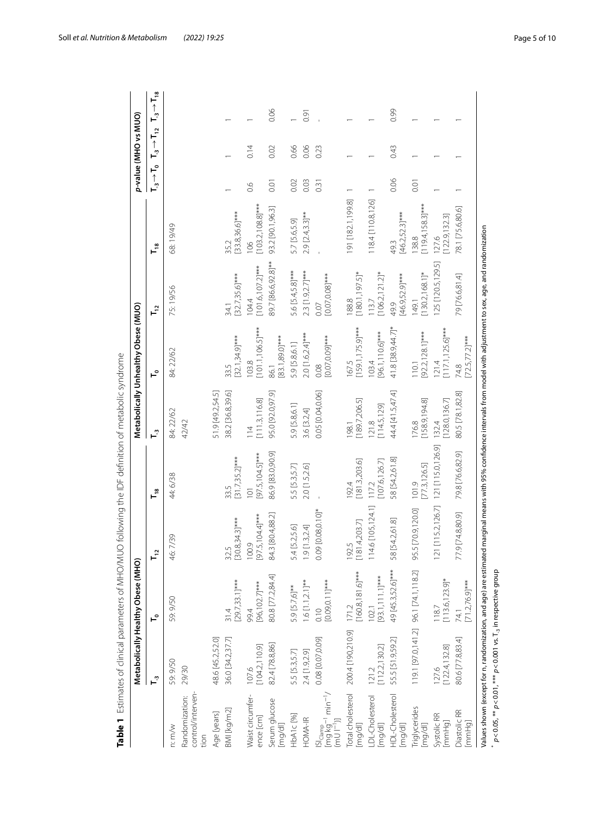|                                                                                                |                                                                                                                                                                                                                                                                  | Metabolically Healthy Obese (MHO) |                             |                                    |                                  | Metabolically Unhealthy Obese (MUO) |                                     |                              |               | p-value (MHO vs MUO)        |                             |
|------------------------------------------------------------------------------------------------|------------------------------------------------------------------------------------------------------------------------------------------------------------------------------------------------------------------------------------------------------------------|-----------------------------------|-----------------------------|------------------------------------|----------------------------------|-------------------------------------|-------------------------------------|------------------------------|---------------|-----------------------------|-----------------------------|
|                                                                                                | $\mathsf{L}^2$                                                                                                                                                                                                                                                   | ٵ                                 | $\mathbf{r}$                | $T_{18}$                           | $\mathsf{L}^2$                   | ⊢°                                  | $T_{12}$                            | $T_{18}$                     | ⊢°<br>∸<br>ד" | $T_{-3} \rightarrow T_{12}$ | $T_{-3} \rightarrow T_{18}$ |
| control/interven-<br>Randomization:<br>n: m/w<br>tion                                          | 59:9/50<br>29/30                                                                                                                                                                                                                                                 | 59:9/50                           | 46:7/39                     | 44:6/38                            | 84: 22/62<br>42/42               | 84:22/62                            | 75:19/56                            | 68:19/49                     |               |                             |                             |
| Age [years]                                                                                    | 48.6 [45.2,52.0]                                                                                                                                                                                                                                                 |                                   |                             |                                    | 51.9 [49.2,54.5]                 |                                     |                                     |                              |               |                             |                             |
| BMI [kg/m2]                                                                                    | 36.0 [34.2,37.7]                                                                                                                                                                                                                                                 | $[29.7, 33.1]$ ***<br>31.4        | $[30.8, 34.3]$ ***<br>32.5  | $[31.7,35.2]$ ***<br>33.5          | 38.2 [36.8,39.6]                 | $[32.1, 34.9]$ ***<br>33.5          | $[32.7, 35.6]$ ***<br>34.1          | $[33.8,36.6]$ ***<br>35.2    |               |                             |                             |
| Waist circumfer-<br>ence [cm]                                                                  | [104.2, 110.9]<br>107.6                                                                                                                                                                                                                                          | [96,102.7]***<br>99.4             | $[97.5, 104.4]$ ***<br>00.9 | 97.5,104.5]***<br>$\overline{101}$ | [111.3, 116.8]<br>$\frac{14}{5}$ | $[101.1, 106.5]$ ***<br>103.8       | $[101.6, 107.2]$ ***<br>104.4       | $[103.2, 108.8]$ ***<br>106  | 0.6           | 0.14                        |                             |
| Serum glucose<br>[mg/dl]                                                                       | 82.4 [78.8,86]                                                                                                                                                                                                                                                   | 80.8 [77.2,84.4]                  | 84.3 [80.4,88.2]            | 86.9 [83.0,90.9]                   | 95.0 [92.0,97.9]                 | 83.1,89.0]***<br>86.1               | 89.7 [86.6,92.8]**                  | 93.2 [90.1,96.3]             | 0.01          | 0.02                        | 0.06                        |
| HbA1c <sup>[96]</sup>                                                                          | 5.5 [5.3,5.7]                                                                                                                                                                                                                                                    | 5.9 [5.7,6]**                     | 5.4 [5.2,5.6]               | 5.5 [5.3,5.7]                      | 5.9 [5.8,6.1]                    | 5.9 [5.8,6.1]                       | 5.6 [5.4,5.8]***                    | 5.7 [5.6,5.9]                | 0.02          | 0.66                        |                             |
| HOMA-IR                                                                                        | 2.4 [1.9,2.9]                                                                                                                                                                                                                                                    | $1.6$ [1.1, 2.1]**                | 9 [1.3,2.4]                 | 2.0 [1.5,2.6]                      | 3.6 [3.2,4]                      | 2.0 [1.6,2.4]***                    | $2.3$ [1.9,2.7]***                  | $2.9$ [2.4,3.3]**            | 0.03          | 0.06                        | 0.91                        |
| Sl <sub>Clamp</sub> - 1<br> mg kg <sup>- 1</sup> min <sup>-1</sup> /<br>(mU l <sup>-1</sup> )] | 0.08 [0.07,0.09]                                                                                                                                                                                                                                                 | $[0.09, 0.11]$ ***<br>0.10        | 0.09 [0.08,0.10]*           |                                    | 0.05 [0.04,0.06]                 | $[0.07, 0.09]$ ***<br>0.08          | $[0.07, 0.08]$ ***<br>0.07          |                              | 0.31          | 0.23                        |                             |
| Total cholesterol<br>[mg/dl]                                                                   | 200.4 [190,210.9]                                                                                                                                                                                                                                                | $160.8,181.6$ ]***<br>171.2       | 81.4,203.7]<br>92.5         | [181.3,203.6]<br>192.4             | [189.7, 206.5]<br>198.1          | $[159.1, 175.9]***$<br>167.5        | $[180.1, 197.5]$ *<br>188.8         | 191 [182.1,199.8]            |               |                             |                             |
| DL-Cholesterol<br>[mg/dl]                                                                      | [112.2, 130.2]<br>121.2                                                                                                                                                                                                                                          | [93.1,111.1]***<br>102.1          | 14.6 [105,124.1]            | 107.6,126.7<br>1172                | [114.5, 129]<br>121.8            | [96.1,110.6]***<br>103.4            | $[106.2, 121.2]$ *<br>13.7          | 118.4 [110.8,126]            |               |                             |                             |
| HDL-Cholesterol<br>[mg/dl]                                                                     | 55.5 [51.9,59.2]                                                                                                                                                                                                                                                 | 49 [45.3,52.6]***                 | 58 [54.2,61.8]              | 58 [54.2,61.8]                     | 44.4 [41.5,47.4]                 | 41.8 [38.9,44.7]*                   | $[46.9,52.9]***$<br>49.9            | $[46.2,52.3]***$<br>49.3     | 0.06          | 0.43                        | 0.99                        |
| riglycerides<br>[mg/dl]                                                                        | 119.1 [97.0,141.2] 96.1 [74.1,118.2]                                                                                                                                                                                                                             |                                   | 95.5 [70.9,120.0]           | 773,126.5]<br>101.9                | 176.8<br>[158.9,194.8]           | $[92.2, 128.1]$ ***<br>110.1        | $130.2,168.1$ <sup>*</sup><br>149.1 | $(119.4, 158.3)***$<br>138.8 | 0.01          |                             |                             |
| Systolic RR<br>[mmHg]                                                                          | [122.4, 132.8]<br>127.6                                                                                                                                                                                                                                          | $[113.6, 123.9]$ *<br>118.7       | 21 [115.2,126.7]            | 121 [115.0,126.9]                  | 128.0,136.7]<br>132.4            | $[117.1, 125.6]$ ***<br>121.4       | 125 [120.5,129.5]                   | 122.9,132.3<br>127.6         |               |                             |                             |
| Diastolic RR<br>[mmHg]                                                                         | 80.6 [77.8,83.4]                                                                                                                                                                                                                                                 | $71.276.9$ <sup>***</sup><br>74.1 | 77.9 [74.8,80.9]            | 79.8 [76.6,82.9]                   | 80.5 [78.1,82.8]                 | $[72.5, 77.2]$ ***<br>74.8          | 79 [76.6,81.4]                      | 78.1 [75.6,80.6]             |               |                             |                             |
|                                                                                                | Values shown (except for n, randomization, and age) are estimated marginal means with 95% confidence intervals from model with adjustment to sex, age, and randomization<br>$p < 0.05$ , ** $p < 0.01$ , *** $p < 0.001$ vs. T <sub>-3</sub> in respective group |                                   |                             |                                    |                                  |                                     |                                     |                              |               |                             |                             |

<span id="page-4-0"></span>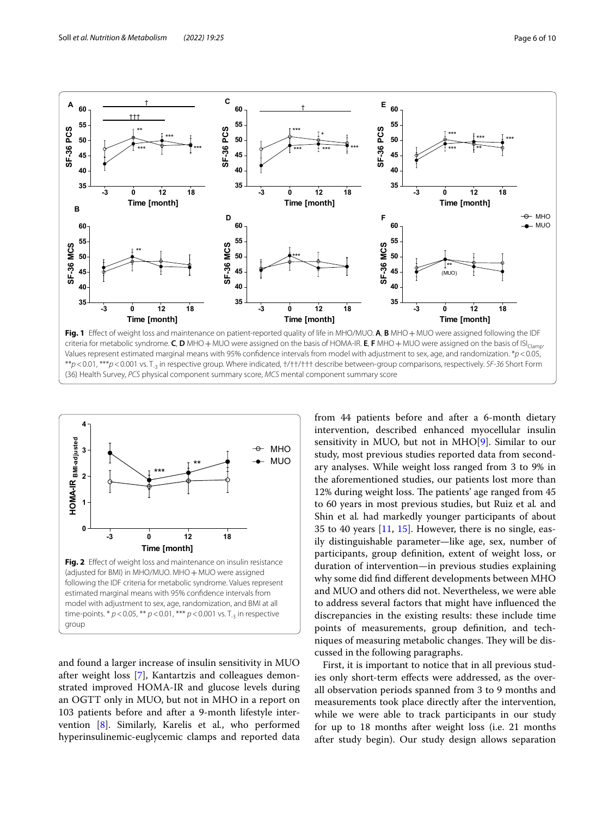

<span id="page-5-0"></span>criteria for metabolic syndrome. **C**, **D** MHO + MUO were assigned on the basis of HOMA-IR. **E**, **F** MHO + MUO were assigned on the basis of ISI<sub>Clamp</sub>. Values represent estimated marginal means with 95% confdence intervals from model with adjustment to sex, age, and randomization. \**p*<0.05, \*\**p*<0.01, \*\*\**p*<0.001 vs. T-3 in respective group. Where indicated, †/††/††† describe between-group comparisons, respectively. *SF-36* Short Form (36) Health Survey, *PCS* physical component summary score, *MCS* mental component summary score



<span id="page-5-1"></span>and found a larger increase of insulin sensitivity in MUO after weight loss [\[7\]](#page-8-6), Kantartzis and colleagues demonstrated improved HOMA-IR and glucose levels during an OGTT only in MUO, but not in MHO in a report on 103 patients before and after a 9-month lifestyle intervention [[8\]](#page-8-7). Similarly, Karelis et al*.*, who performed hyperinsulinemic-euglycemic clamps and reported data from 44 patients before and after a 6-month dietary intervention, described enhanced myocellular insulin sensitivity in MUO, but not in MHO $[9]$  $[9]$ . Similar to our study, most previous studies reported data from secondary analyses. While weight loss ranged from 3 to 9% in the aforementioned studies, our patients lost more than 12% during weight loss. The patients' age ranged from 45 to 60 years in most previous studies, but Ruiz et al*.* and Shin et al*.* had markedly younger participants of about 35 to 40 years [[11,](#page-8-10) [15\]](#page-8-14). However, there is no single, easily distinguishable parameter—like age, sex, number of participants, group defnition, extent of weight loss, or duration of intervention—in previous studies explaining why some did fnd diferent developments between MHO and MUO and others did not. Nevertheless, we were able to address several factors that might have infuenced the discrepancies in the existing results: these include time points of measurements, group defnition, and techniques of measuring metabolic changes. They will be discussed in the following paragraphs.

First, it is important to notice that in all previous studies only short-term efects were addressed, as the overall observation periods spanned from 3 to 9 months and measurements took place directly after the intervention, while we were able to track participants in our study for up to 18 months after weight loss (i.e. 21 months after study begin). Our study design allows separation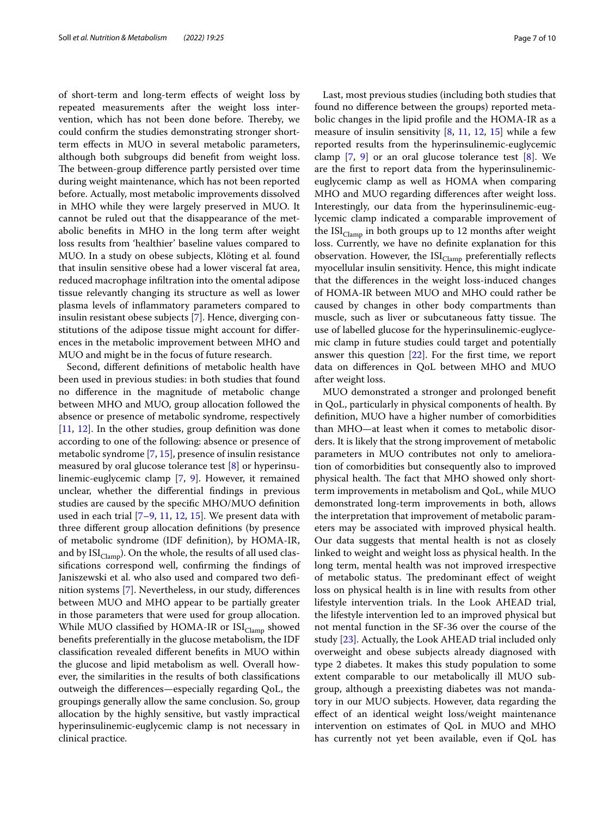of short-term and long-term efects of weight loss by repeated measurements after the weight loss intervention, which has not been done before. Thereby, we could confrm the studies demonstrating stronger shortterm efects in MUO in several metabolic parameters, although both subgroups did beneft from weight loss. The between-group difference partly persisted over time during weight maintenance, which has not been reported before. Actually, most metabolic improvements dissolved in MHO while they were largely preserved in MUO. It cannot be ruled out that the disappearance of the metabolic benefts in MHO in the long term after weight loss results from 'healthier' baseline values compared to MUO. In a study on obese subjects, Klöting et al*.* found that insulin sensitive obese had a lower visceral fat area, reduced macrophage infltration into the omental adipose tissue relevantly changing its structure as well as lower plasma levels of infammatory parameters compared to insulin resistant obese subjects [\[7](#page-8-6)]. Hence, diverging constitutions of the adipose tissue might account for diferences in the metabolic improvement between MHO and MUO and might be in the focus of future research.

Second, diferent defnitions of metabolic health have been used in previous studies: in both studies that found no diference in the magnitude of metabolic change between MHO and MUO, group allocation followed the absence or presence of metabolic syndrome, respectively [[11,](#page-8-10) [12](#page-8-11)]. In the other studies, group defnition was done according to one of the following: absence or presence of metabolic syndrome [\[7](#page-8-6), [15](#page-8-14)], presence of insulin resistance measured by oral glucose tolerance test [[8\]](#page-8-7) or hyperinsulinemic-euglycemic clamp [[7,](#page-8-6) [9](#page-8-8)]. However, it remained unclear, whether the diferential fndings in previous studies are caused by the specifc MHO/MUO defnition used in each trial  $[7-9, 11, 12, 15]$  $[7-9, 11, 12, 15]$  $[7-9, 11, 12, 15]$  $[7-9, 11, 12, 15]$  $[7-9, 11, 12, 15]$  $[7-9, 11, 12, 15]$  $[7-9, 11, 12, 15]$  $[7-9, 11, 12, 15]$  $[7-9, 11, 12, 15]$ . We present data with three diferent group allocation defnitions (by presence of metabolic syndrome (IDF defnition), by HOMA-IR, and by  $ISI_{Clamp}$ ). On the whole, the results of all used classifcations correspond well, confrming the fndings of Janiszewski et al. who also used and compared two defnition systems [[7](#page-8-6)]. Nevertheless, in our study, diferences between MUO and MHO appear to be partially greater in those parameters that were used for group allocation. While MUO classified by HOMA-IR or  $ISI_{Clamp}$  showed benefts preferentially in the glucose metabolism, the IDF classifcation revealed diferent benefts in MUO within the glucose and lipid metabolism as well. Overall however, the similarities in the results of both classifcations outweigh the diferences—especially regarding QoL, the groupings generally allow the same conclusion. So, group allocation by the highly sensitive, but vastly impractical hyperinsulinemic-euglycemic clamp is not necessary in clinical practice.

Last, most previous studies (including both studies that found no diference between the groups) reported metabolic changes in the lipid profle and the HOMA-IR as a measure of insulin sensitivity  $[8, 11, 12, 15]$  $[8, 11, 12, 15]$  $[8, 11, 12, 15]$  $[8, 11, 12, 15]$  $[8, 11, 12, 15]$  $[8, 11, 12, 15]$  $[8, 11, 12, 15]$  $[8, 11, 12, 15]$  while a few reported results from the hyperinsulinemic-euglycemic clamp  $[7, 9]$  $[7, 9]$  $[7, 9]$  or an oral glucose tolerance test  $[8]$  $[8]$ . We are the frst to report data from the hyperinsulinemiceuglycemic clamp as well as HOMA when comparing MHO and MUO regarding diferences after weight loss. Interestingly, our data from the hyperinsulinemic-euglycemic clamp indicated a comparable improvement of the  $ISI_{Clamp}$  in both groups up to 12 months after weight loss. Currently, we have no defnite explanation for this observation. However, the  $ISI_{Clamp}$  preferentially reflects myocellular insulin sensitivity. Hence, this might indicate that the diferences in the weight loss-induced changes of HOMA-IR between MUO and MHO could rather be caused by changes in other body compartments than muscle, such as liver or subcutaneous fatty tissue. The use of labelled glucose for the hyperinsulinemic-euglycemic clamp in future studies could target and potentially answer this question [[22\]](#page-9-0). For the frst time, we report data on diferences in QoL between MHO and MUO after weight loss.

MUO demonstrated a stronger and prolonged beneft in QoL, particularly in physical components of health. By defnition, MUO have a higher number of comorbidities than MHO—at least when it comes to metabolic disorders. It is likely that the strong improvement of metabolic parameters in MUO contributes not only to amelioration of comorbidities but consequently also to improved physical health. The fact that MHO showed only shortterm improvements in metabolism and QoL, while MUO demonstrated long-term improvements in both, allows the interpretation that improvement of metabolic parameters may be associated with improved physical health. Our data suggests that mental health is not as closely linked to weight and weight loss as physical health. In the long term, mental health was not improved irrespective of metabolic status. The predominant effect of weight loss on physical health is in line with results from other lifestyle intervention trials. In the Look AHEAD trial, the lifestyle intervention led to an improved physical but not mental function in the SF-36 over the course of the study [\[23](#page-9-1)]. Actually, the Look AHEAD trial included only overweight and obese subjects already diagnosed with type 2 diabetes. It makes this study population to some extent comparable to our metabolically ill MUO subgroup, although a preexisting diabetes was not mandatory in our MUO subjects. However, data regarding the efect of an identical weight loss/weight maintenance intervention on estimates of QoL in MUO and MHO has currently not yet been available, even if QoL has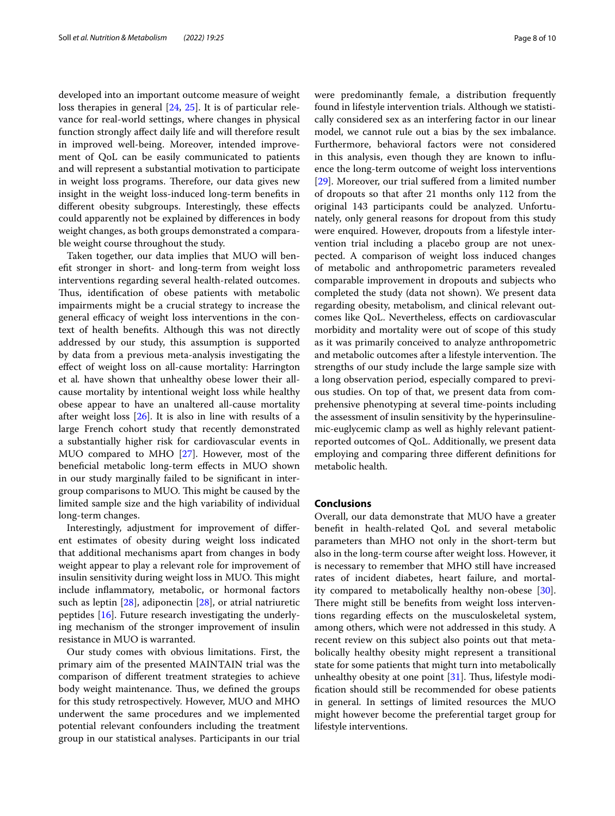developed into an important outcome measure of weight loss therapies in general [[24,](#page-9-2) [25\]](#page-9-3). It is of particular relevance for real-world settings, where changes in physical function strongly afect daily life and will therefore result in improved well-being. Moreover, intended improvement of QoL can be easily communicated to patients and will represent a substantial motivation to participate in weight loss programs. Therefore, our data gives new insight in the weight loss-induced long-term benefts in diferent obesity subgroups. Interestingly, these efects could apparently not be explained by diferences in body weight changes, as both groups demonstrated a comparable weight course throughout the study.

Taken together, our data implies that MUO will beneft stronger in short- and long-term from weight loss interventions regarding several health-related outcomes. Thus, identification of obese patients with metabolic impairments might be a crucial strategy to increase the general efficacy of weight loss interventions in the context of health benefts. Although this was not directly addressed by our study, this assumption is supported by data from a previous meta-analysis investigating the efect of weight loss on all-cause mortality: Harrington et al*.* have shown that unhealthy obese lower their allcause mortality by intentional weight loss while healthy obese appear to have an unaltered all-cause mortality after weight loss [\[26](#page-9-4)]. It is also in line with results of a large French cohort study that recently demonstrated a substantially higher risk for cardiovascular events in MUO compared to MHO [\[27](#page-9-5)]. However, most of the benefcial metabolic long-term efects in MUO shown in our study marginally failed to be signifcant in intergroup comparisons to MUO. This might be caused by the limited sample size and the high variability of individual long-term changes.

Interestingly, adjustment for improvement of diferent estimates of obesity during weight loss indicated that additional mechanisms apart from changes in body weight appear to play a relevant role for improvement of insulin sensitivity during weight loss in MUO. This might include infammatory, metabolic, or hormonal factors such as leptin [[28\]](#page-9-6), adiponectin [[28\]](#page-9-6), or atrial natriuretic peptides [[16\]](#page-8-15). Future research investigating the underlying mechanism of the stronger improvement of insulin resistance in MUO is warranted.

Our study comes with obvious limitations. First, the primary aim of the presented MAINTAIN trial was the comparison of diferent treatment strategies to achieve body weight maintenance. Thus, we defined the groups for this study retrospectively. However, MUO and MHO underwent the same procedures and we implemented potential relevant confounders including the treatment group in our statistical analyses. Participants in our trial were predominantly female, a distribution frequently found in lifestyle intervention trials. Although we statistically considered sex as an interfering factor in our linear model, we cannot rule out a bias by the sex imbalance. Furthermore, behavioral factors were not considered in this analysis, even though they are known to infuence the long-term outcome of weight loss interventions [[29\]](#page-9-7). Moreover, our trial suffered from a limited number of dropouts so that after 21 months only 112 from the original 143 participants could be analyzed. Unfortunately, only general reasons for dropout from this study were enquired. However, dropouts from a lifestyle intervention trial including a placebo group are not unexpected. A comparison of weight loss induced changes of metabolic and anthropometric parameters revealed comparable improvement in dropouts and subjects who completed the study (data not shown). We present data regarding obesity, metabolism, and clinical relevant outcomes like QoL. Nevertheless, efects on cardiovascular morbidity and mortality were out of scope of this study as it was primarily conceived to analyze anthropometric and metabolic outcomes after a lifestyle intervention. The strengths of our study include the large sample size with a long observation period, especially compared to previous studies. On top of that, we present data from comprehensive phenotyping at several time-points including the assessment of insulin sensitivity by the hyperinsulinemic-euglycemic clamp as well as highly relevant patientreported outcomes of QoL. Additionally, we present data employing and comparing three diferent defnitions for metabolic health.

## **Conclusions**

Overall, our data demonstrate that MUO have a greater beneft in health-related QoL and several metabolic parameters than MHO not only in the short-term but also in the long-term course after weight loss. However, it is necessary to remember that MHO still have increased rates of incident diabetes, heart failure, and mortality compared to metabolically healthy non-obese [\[30](#page-9-8)]. There might still be benefits from weight loss interventions regarding efects on the musculoskeletal system, among others, which were not addressed in this study. A recent review on this subject also points out that metabolically healthy obesity might represent a transitional state for some patients that might turn into metabolically unhealthy obesity at one point  $[31]$  $[31]$ . Thus, lifestyle modifcation should still be recommended for obese patients in general. In settings of limited resources the MUO might however become the preferential target group for lifestyle interventions.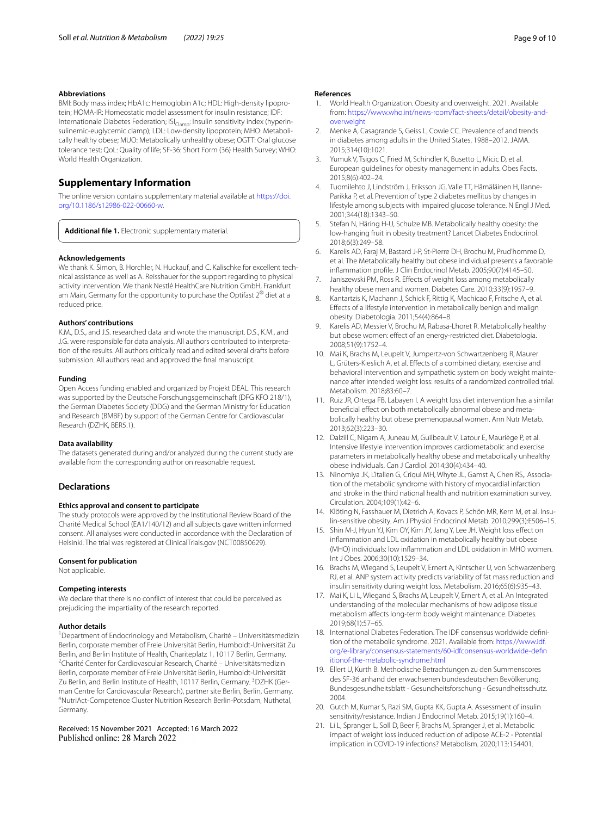#### **Abbreviations**

BMI: Body mass index; HbA1c: Hemoglobin A1c; HDL: High-density lipoprotein; HOMA-IR: Homeostatic model assessment for insulin resistance; IDF: Internationale Diabetes Federation;  $ISl_{Clamn}$ : Insulin sensitivity index (hyperinsulinemic-euglycemic clamp); LDL: Low-density lipoprotein; MHO: Metabolically healthy obese; MUO: Metabolically unhealthy obese; OGTT: Oral glucose tolerance test; QoL: Quality of life; SF-36: Short Form (36) Health Survey; WHO: World Health Organization.

# **Supplementary Information**

The online version contains supplementary material available at [https://doi.](https://doi.org/10.1186/s12986-022-00660-w) [org/10.1186/s12986-022-00660-w.](https://doi.org/10.1186/s12986-022-00660-w)

<span id="page-8-17"></span>**Additional fle 1.** Electronic supplementary material.

#### **Acknowledgements**

We thank K. Simon, B. Horchler, N. Huckauf, and C. Kalischke for excellent technical assistance as well as A. Reisshauer for the support regarding to physical activity intervention. We thank Nestlé HealthCare Nutrition GmbH, Frankfurt am Main, Germany for the opportunity to purchase the Optifast 2<sup>®</sup> diet at a reduced price.

#### **Authors' contributions**

K.M., D.S., and J.S. researched data and wrote the manuscript. D.S., K.M., and J.G. were responsible for data analysis. All authors contributed to interpretation of the results. All authors critically read and edited several drafts before submission. All authors read and approved the fnal manuscript.

#### **Funding**

Open Access funding enabled and organized by Projekt DEAL. This research was supported by the Deutsche Forschungsgemeinschaft (DFG KFO 218/1), the German Diabetes Society (DDG) and the German Ministry for Education and Research (BMBF) by support of the German Centre for Cardiovascular Research (DZHK, BER5.1).

#### **Data availability**

The datasets generated during and/or analyzed during the current study are available from the corresponding author on reasonable request.

#### **Declarations**

#### **Ethics approval and consent to participate**

The study protocols were approved by the Institutional Review Board of the Charité Medical School (EA1/140/12) and all subjects gave written informed consent. All analyses were conducted in accordance with the Declaration of Helsinki. The trial was registered at ClinicalTrials.gov (NCT00850629).

#### **Consent for publication**

Not applicable.

#### **Competing interests**

We declare that there is no confict of interest that could be perceived as prejudicing the impartiality of the research reported.

#### **Author details**

<sup>1</sup> Department of Endocrinology and Metabolism, Charité - Universitätsmedizin Berlin, corporate member of Freie Universität Berlin, Humboldt-Universität Zu Berlin, and Berlin Institute of Health, Chariteplatz 1, 10117 Berlin, Germany. 2 <sup>2</sup> Charité Center for Cardiovascular Research, Charité – Universitätsmedizin Berlin, corporate member of Freie Universität Berlin, Humboldt-Universität Zu Berlin, and Berlin Institute of Health, 10117 Berlin, Germany. <sup>3</sup>DZHK (German Centre for Cardiovascular Research), partner site Berlin, Berlin, Germany. 4 NutriAct-Competence Cluster Nutrition Research Berlin-Potsdam, Nuthetal, Germany.

Received: 15 November 2021 Accepted: 16 March 2022

#### **References**

- <span id="page-8-0"></span>1. World Health Organization. Obesity and overweight. 2021. Available from: [https://www.who.int/news-room/fact-sheets/detail/obesity-and](https://www.who.int/news-room/fact-sheets/detail/obesity-and-overweight) [overweight](https://www.who.int/news-room/fact-sheets/detail/obesity-and-overweight)
- <span id="page-8-1"></span>2. Menke A, Casagrande S, Geiss L, Cowie CC. Prevalence of and trends in diabetes among adults in the United States, 1988–2012. JAMA. 2015;314(10):1021.
- <span id="page-8-2"></span>3. Yumuk V, Tsigos C, Fried M, Schindler K, Busetto L, Micic D, et al. European guidelines for obesity management in adults. Obes Facts. 2015;8(6):402–24.
- <span id="page-8-3"></span>4. Tuomilehto J, Lindström J, Eriksson JG, Valle TT, Hämäläinen H, Ilanne-Parikka P, et al. Prevention of type 2 diabetes mellitus by changes in lifestyle among subjects with impaired glucose tolerance. N Engl J Med. 2001;344(18):1343–50.
- <span id="page-8-4"></span>5. Stefan N, Häring H-U, Schulze MB. Metabolically healthy obesity: the low-hanging fruit in obesity treatment? Lancet Diabetes Endocrinol. 2018;6(3):249–58.
- <span id="page-8-5"></span>6. Karelis AD, Faraj M, Bastard J-P, St-Pierre DH, Brochu M, Prud'homme D, et al. The Metabolically healthy but obese individual presents a favorable infammation profle. J Clin Endocrinol Metab. 2005;90(7):4145–50.
- <span id="page-8-6"></span>7. Janiszewski PM, Ross R. Effects of weight loss among metabolically healthy obese men and women. Diabetes Care. 2010;33(9):1957–9.
- <span id="page-8-7"></span>Kantartzis K, Machann J, Schick F, Rittig K, Machicao F, Fritsche A, et al. Efects of a lifestyle intervention in metabolically benign and malign obesity. Diabetologia. 2011;54(4):864–8.
- <span id="page-8-8"></span>9. Karelis AD, Messier V, Brochu M, Rabasa-Lhoret R. Metabolically healthy but obese women: effect of an energy-restricted diet. Diabetologia. 2008;51(9):1752–4.
- <span id="page-8-9"></span>10. Mai K, Brachs M, Leupelt V, Jumpertz-von Schwartzenberg R, Maurer L, Grüters-Kieslich A, et al. Efects of a combined dietary, exercise and behavioral intervention and sympathetic system on body weight maintenance after intended weight loss: results of a randomized controlled trial. Metabolism. 2018;83:60–7.
- <span id="page-8-10"></span>11. Ruiz JR, Ortega FB, Labayen I. A weight loss diet intervention has a similar beneficial effect on both metabolically abnormal obese and metabolically healthy but obese premenopausal women. Ann Nutr Metab. 2013;62(3):223–30.
- <span id="page-8-11"></span>12. Dalzill C, Nigam A, Juneau M, Guilbeault V, Latour E, Mauriège P, et al. Intensive lifestyle intervention improves cardiometabolic and exercise parameters in metabolically healthy obese and metabolically unhealthy obese individuals. Can J Cardiol. 2014;30(4):434–40.
- <span id="page-8-12"></span>13. Ninomiya JK, L'italien G, Criqui MH, Whyte JL, Gamst A, Chen RS,. Association of the metabolic syndrome with history of myocardial infarction and stroke in the third national health and nutrition examination survey. Circulation. 2004;109(1):42–6.
- <span id="page-8-13"></span>14. Klöting N, Fasshauer M, Dietrich A, Kovacs P, Schön MR, Kern M, et al. Insulin-sensitive obesity. Am J Physiol Endocrinol Metab. 2010;299(3):E506–15.
- <span id="page-8-14"></span>15. Shin M-J, Hyun YJ, Kim OY, Kim JY, Jang Y, Lee JH. Weight loss efect on infammation and LDL oxidation in metabolically healthy but obese (MHO) individuals: low infammation and LDL oxidation in MHO women. Int J Obes. 2006;30(10):1529–34.
- <span id="page-8-15"></span>16. Brachs M, Wiegand S, Leupelt V, Ernert A, Kintscher U, von Schwarzenberg RJ, et al. ANP system activity predicts variability of fat mass reduction and insulin sensitivity during weight loss. Metabolism. 2016;65(6):935–43.
- <span id="page-8-16"></span>17. Mai K, Li L, Wiegand S, Brachs M, Leupelt V, Ernert A, et al. An Integrated understanding of the molecular mechanisms of how adipose tissue metabolism afects long-term body weight maintenance. Diabetes. 2019;68(1):57–65.
- <span id="page-8-18"></span>18. International Diabetes Federation. The IDF consensus worldwide definition of the metabolic syndrome. 2021. Available from: [https://www.idf.](https://www.idf.org/e-library/consensus-statements/60-idfconsensus-worldwide-definitionof-the-metabolic-syndrome.html) [org/e-library/consensus-statements/60-idfconsensus-worldwide-defn](https://www.idf.org/e-library/consensus-statements/60-idfconsensus-worldwide-definitionof-the-metabolic-syndrome.html) [itionof-the-metabolic-syndrome.html](https://www.idf.org/e-library/consensus-statements/60-idfconsensus-worldwide-definitionof-the-metabolic-syndrome.html)
- <span id="page-8-19"></span>19. Ellert U, Kurth B. Methodische Betrachtungen zu den Summenscores des SF-36 anhand der erwachsenen bundesdeutschen Bevölkerung. Bundesgesundheitsblatt - Gesundheitsforschung - Gesundheitsschutz. 2004.
- <span id="page-8-20"></span>20. Gutch M, Kumar S, Razi SM, Gupta KK, Gupta A. Assessment of insulin sensitivity/resistance. Indian J Endocrinol Metab. 2015;19(1):160–4.
- <span id="page-8-21"></span>21. Li L, Spranger L, Soll D, Beer F, Brachs M, Spranger J, et al. Metabolic impact of weight loss induced reduction of adipose ACE-2 - Potential implication in COVID-19 infections? Metabolism. 2020;113:154401.